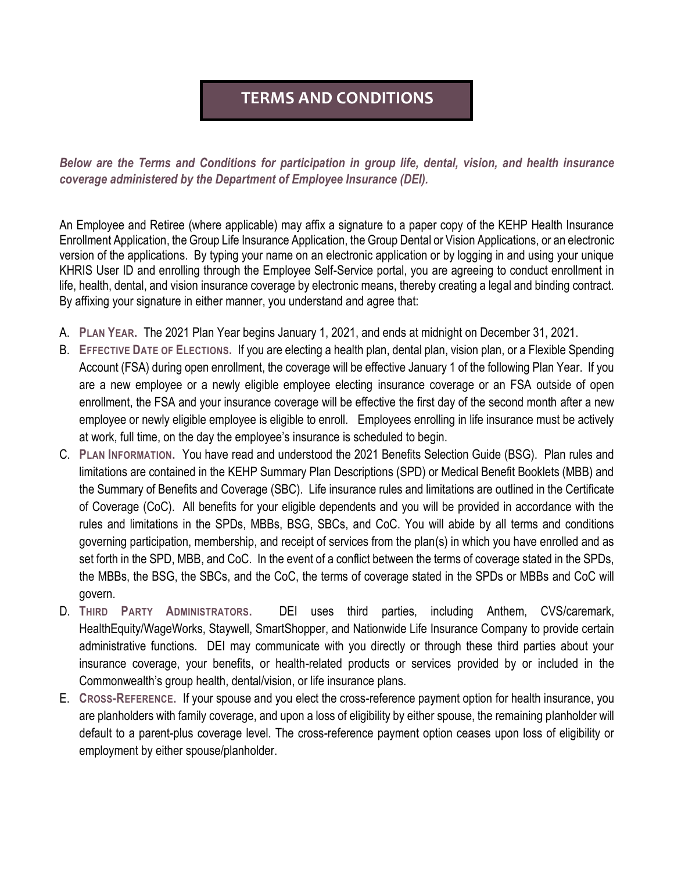## **TERMS AND CONDITIONS**

*Below are the Terms and Conditions for participation in group life, dental, vision, and health insurance coverage administered by the Department of Employee Insurance (DEI).* 

An Employee and Retiree (where applicable) may affix a signature to a paper copy of the KEHP Health Insurance Enrollment Application, the Group Life Insurance Application, the Group Dental or Vision Applications, or an electronic version of the applications. By typing your name on an electronic application or by logging in and using your unique KHRIS User ID and enrolling through the Employee Self-Service portal, you are agreeing to conduct enrollment in life, health, dental, and vision insurance coverage by electronic means, thereby creating a legal and binding contract. By affixing your signature in either manner, you understand and agree that:

- A. **PLAN YEAR.** The 2021 Plan Year begins January 1, 2021, and ends at midnight on December 31, 2021.
- B. **EFFECTIVE DATE OF ELECTIONS.** If you are electing a health plan, dental plan, vision plan, or a Flexible Spending Account (FSA) during open enrollment, the coverage will be effective January 1 of the following Plan Year. If you are a new employee or a newly eligible employee electing insurance coverage or an FSA outside of open enrollment, the FSA and your insurance coverage will be effective the first day of the second month after a new employee or newly eligible employee is eligible to enroll. Employees enrolling in life insurance must be actively at work, full time, on the day the employee's insurance is scheduled to begin.
- C. **PLAN INFORMATION.** You have read and understood the 2021 Benefits Selection Guide (BSG). Plan rules and limitations are contained in the KEHP Summary Plan Descriptions (SPD) or Medical Benefit Booklets (MBB) and the Summary of Benefits and Coverage (SBC). Life insurance rules and limitations are outlined in the Certificate of Coverage (CoC). All benefits for your eligible dependents and you will be provided in accordance with the rules and limitations in the SPDs, MBBs, BSG, SBCs, and CoC. You will abide by all terms and conditions governing participation, membership, and receipt of services from the plan(s) in which you have enrolled and as set forth in the SPD, MBB, and CoC. In the event of a conflict between the terms of coverage stated in the SPDs, the MBBs, the BSG, the SBCs, and the CoC, the terms of coverage stated in the SPDs or MBBs and CoC will govern.
- D. **THIRD PARTY ADMINISTRATORS.** DEI uses third parties, including Anthem, CVS/caremark, HealthEquity/WageWorks, Staywell, SmartShopper, and Nationwide Life Insurance Company to provide certain administrative functions. DEI may communicate with you directly or through these third parties about your insurance coverage, your benefits, or health-related products or services provided by or included in the Commonwealth's group health, dental/vision, or life insurance plans.
- E. **CROSS-REFERENCE.** If your spouse and you elect the cross-reference payment option for health insurance, you are planholders with family coverage, and upon a loss of eligibility by either spouse, the remaining planholder will default to a parent-plus coverage level. The cross-reference payment option ceases upon loss of eligibility or employment by either spouse/planholder.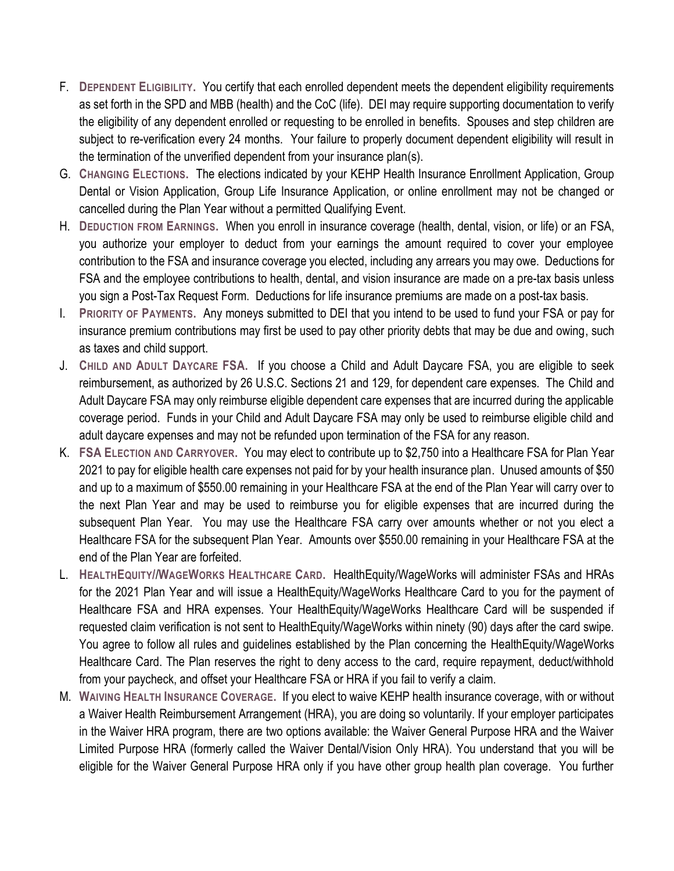- F. **DEPENDENT ELIGIBILITY.** You certify that each enrolled dependent meets the dependent eligibility requirements as set forth in the SPD and MBB (health) and the CoC (life). DEI may require supporting documentation to verify the eligibility of any dependent enrolled or requesting to be enrolled in benefits. Spouses and step children are subject to re-verification every 24 months. Your failure to properly document dependent eligibility will result in the termination of the unverified dependent from your insurance plan(s).
- G. **CHANGING ELECTIONS.** The elections indicated by your KEHP Health Insurance Enrollment Application, Group Dental or Vision Application, Group Life Insurance Application, or online enrollment may not be changed or cancelled during the Plan Year without a permitted Qualifying Event.
- H. **DEDUCTION FROM EARNINGS.** When you enroll in insurance coverage (health, dental, vision, or life) or an FSA, you authorize your employer to deduct from your earnings the amount required to cover your employee contribution to the FSA and insurance coverage you elected, including any arrears you may owe. Deductions for FSA and the employee contributions to health, dental, and vision insurance are made on a pre-tax basis unless you sign a Post-Tax Request Form. Deductions for life insurance premiums are made on a post-tax basis.
- I. **PRIORITY OF PAYMENTS.** Any moneys submitted to DEI that you intend to be used to fund your FSA or pay for insurance premium contributions may first be used to pay other priority debts that may be due and owing, such as taxes and child support.
- J. **CHILD AND ADULT DAYCARE FSA.** If you choose a Child and Adult Daycare FSA, you are eligible to seek reimbursement, as authorized by 26 U.S.C. Sections 21 and 129, for dependent care expenses. The Child and Adult Daycare FSA may only reimburse eligible dependent care expenses that are incurred during the applicable coverage period. Funds in your Child and Adult Daycare FSA may only be used to reimburse eligible child and adult daycare expenses and may not be refunded upon termination of the FSA for any reason.
- K. **FSA ELECTION AND CARRYOVER.** You may elect to contribute up to \$2,750 into a Healthcare FSA for Plan Year 2021 to pay for eligible health care expenses not paid for by your health insurance plan. Unused amounts of \$50 and up to a maximum of \$550.00 remaining in your Healthcare FSA at the end of the Plan Year will carry over to the next Plan Year and may be used to reimburse you for eligible expenses that are incurred during the subsequent Plan Year. You may use the Healthcare FSA carry over amounts whether or not you elect a Healthcare FSA for the subsequent Plan Year. Amounts over \$550.00 remaining in your Healthcare FSA at the end of the Plan Year are forfeited.
- L. **HEALTHEQUITY/**/**WAGEWORKS HEALTHCARE CARD.** HealthEquity/WageWorks will administer FSAs and HRAs for the 2021 Plan Year and will issue a HealthEquity/WageWorks Healthcare Card to you for the payment of Healthcare FSA and HRA expenses. Your HealthEquity/WageWorks Healthcare Card will be suspended if requested claim verification is not sent to HealthEquity/WageWorks within ninety (90) days after the card swipe. You agree to follow all rules and guidelines established by the Plan concerning the HealthEquity/WageWorks Healthcare Card. The Plan reserves the right to deny access to the card, require repayment, deduct/withhold from your paycheck, and offset your Healthcare FSA or HRA if you fail to verify a claim.
- M. **WAIVING HEALTH INSURANCE COVERAGE.** If you elect to waive KEHP health insurance coverage, with or without a Waiver Health Reimbursement Arrangement (HRA), you are doing so voluntarily. If your employer participates in the Waiver HRA program, there are two options available: the Waiver General Purpose HRA and the Waiver Limited Purpose HRA (formerly called the Waiver Dental/Vision Only HRA). You understand that you will be eligible for the Waiver General Purpose HRA only if you have other group health plan coverage. You further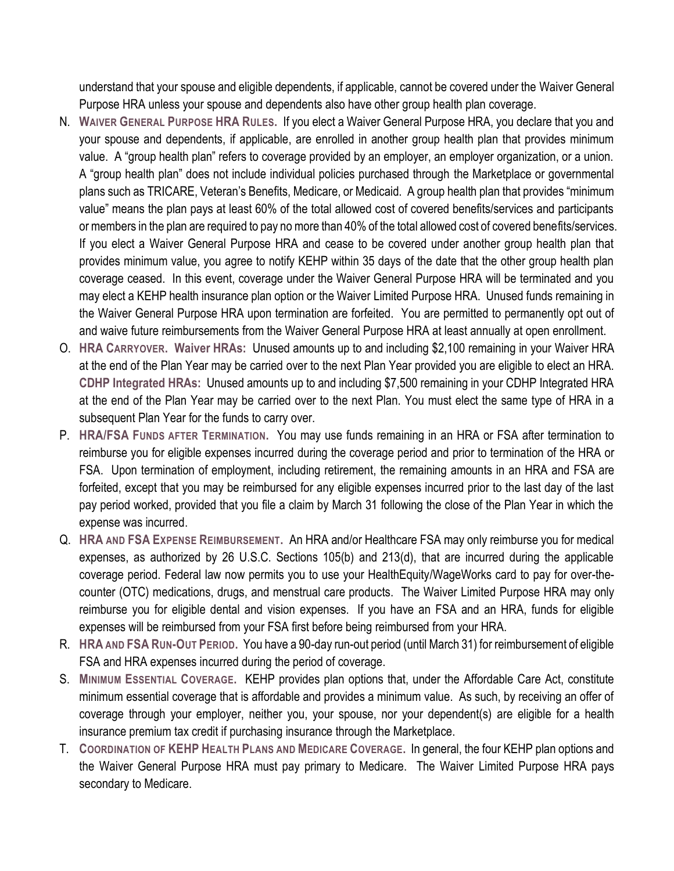understand that your spouse and eligible dependents, if applicable, cannot be covered under the Waiver General Purpose HRA unless your spouse and dependents also have other group health plan coverage.

- N. **WAIVER GENERAL PURPOSE HRA RULES.** If you elect a Waiver General Purpose HRA, you declare that you and your spouse and dependents, if applicable, are enrolled in another group health plan that provides minimum value. A "group health plan" refers to coverage provided by an employer, an employer organization, or a union. A "group health plan" does not include individual policies purchased through the Marketplace or governmental plans such as TRICARE, Veteran's Benefits, Medicare, or Medicaid. A group health plan that provides "minimum value" means the plan pays at least 60% of the total allowed cost of covered benefits/services and participants or members in the plan are required to pay no more than 40% of the total allowed cost of covered benefits/services. If you elect a Waiver General Purpose HRA and cease to be covered under another group health plan that provides minimum value, you agree to notify KEHP within 35 days of the date that the other group health plan coverage ceased. In this event, coverage under the Waiver General Purpose HRA will be terminated and you may elect a KEHP health insurance plan option or the Waiver Limited Purpose HRA. Unused funds remaining in the Waiver General Purpose HRA upon termination are forfeited. You are permitted to permanently opt out of and waive future reimbursements from the Waiver General Purpose HRA at least annually at open enrollment.
- O. **HRA CARRYOVER. Waiver HRAs:** Unused amounts up to and including \$2,100 remaining in your Waiver HRA at the end of the Plan Year may be carried over to the next Plan Year provided you are eligible to elect an HRA. **CDHP Integrated HRAs:** Unused amounts up to and including \$7,500 remaining in your CDHP Integrated HRA at the end of the Plan Year may be carried over to the next Plan. You must elect the same type of HRA in a subsequent Plan Year for the funds to carry over.
- P. **HRA/FSA FUNDS AFTER TERMINATION.** You may use funds remaining in an HRA or FSA after termination to reimburse you for eligible expenses incurred during the coverage period and prior to termination of the HRA or FSA. Upon termination of employment, including retirement, the remaining amounts in an HRA and FSA are forfeited, except that you may be reimbursed for any eligible expenses incurred prior to the last day of the last pay period worked, provided that you file a claim by March 31 following the close of the Plan Year in which the expense was incurred.
- Q. **HRA AND FSA EXPENSE REIMBURSEMENT.** An HRA and/or Healthcare FSA may only reimburse you for medical expenses, as authorized by 26 U.S.C. Sections 105(b) and 213(d), that are incurred during the applicable coverage period. Federal law now permits you to use your HealthEquity/WageWorks card to pay for over-thecounter (OTC) medications, drugs, and menstrual care products. The Waiver Limited Purpose HRA may only reimburse you for eligible dental and vision expenses. If you have an FSA and an HRA, funds for eligible expenses will be reimbursed from your FSA first before being reimbursed from your HRA.
- R. **HRA AND FSA RUN-OUT PERIOD.** You have a 90-day run-out period (until March 31) for reimbursement of eligible FSA and HRA expenses incurred during the period of coverage.
- S. **MINIMUM ESSENTIAL COVERAGE.** KEHP provides plan options that, under the Affordable Care Act, constitute minimum essential coverage that is affordable and provides a minimum value. As such, by receiving an offer of coverage through your employer, neither you, your spouse, nor your dependent(s) are eligible for a health insurance premium tax credit if purchasing insurance through the Marketplace.
- T. **COORDINATION OF KEHP HEALTH PLANS AND MEDICARE COVERAGE.** In general, the four KEHP plan options and the Waiver General Purpose HRA must pay primary to Medicare. The Waiver Limited Purpose HRA pays secondary to Medicare.